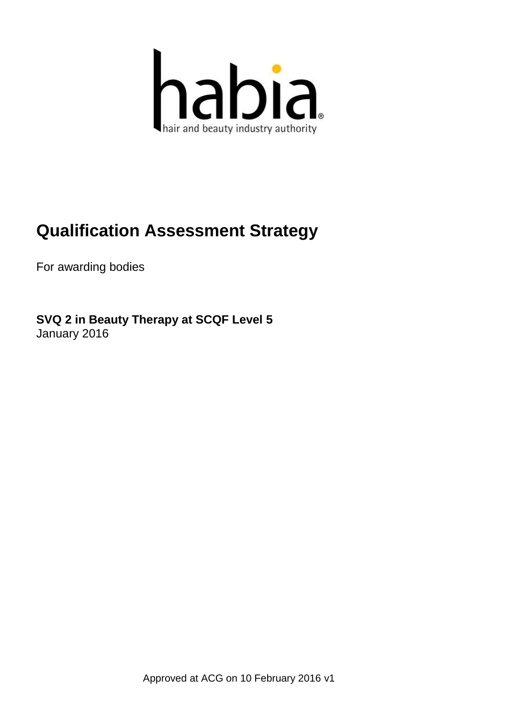

# **Qualification Assessment Strategy**

For awarding bodies

**SVQ 2 in Beauty Therapy at SCQF Level 5** January 2016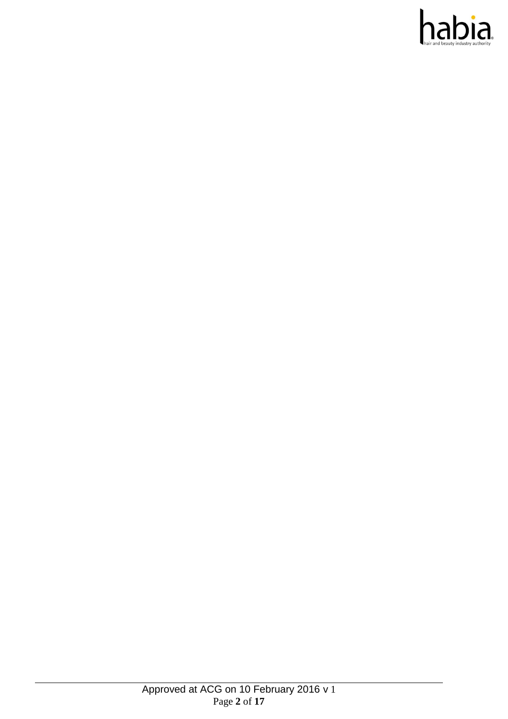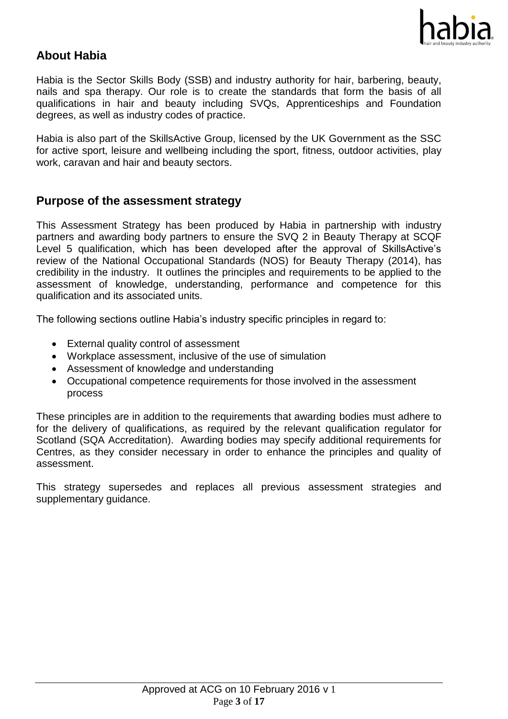

## **About Habia**

Habia is the Sector Skills Body (SSB) and industry authority for hair, barbering, beauty, nails and spa therapy. Our role is to create the standards that form the basis of all qualifications in hair and beauty including SVQs, Apprenticeships and Foundation degrees, as well as industry codes of practice.

Habia is also part of the SkillsActive Group, licensed by the UK Government as the SSC for active sport, leisure and wellbeing including the sport, fitness, outdoor activities, play work, caravan and hair and beauty sectors.

## **Purpose of the assessment strategy**

This Assessment Strategy has been produced by Habia in partnership with industry partners and awarding body partners to ensure the SVQ 2 in Beauty Therapy at SCQF Level 5 qualification, which has been developed after the approval of SkillsActive's review of the National Occupational Standards (NOS) for Beauty Therapy (2014), has credibility in the industry. It outlines the principles and requirements to be applied to the assessment of knowledge, understanding, performance and competence for this qualification and its associated units.

The following sections outline Habia's industry specific principles in regard to:

- External quality control of assessment
- Workplace assessment, inclusive of the use of simulation
- Assessment of knowledge and understanding
- Occupational competence requirements for those involved in the assessment process

These principles are in addition to the requirements that awarding bodies must adhere to for the delivery of qualifications, as required by the relevant qualification regulator for Scotland (SQA Accreditation). Awarding bodies may specify additional requirements for Centres, as they consider necessary in order to enhance the principles and quality of assessment.

This strategy supersedes and replaces all previous assessment strategies and supplementary guidance.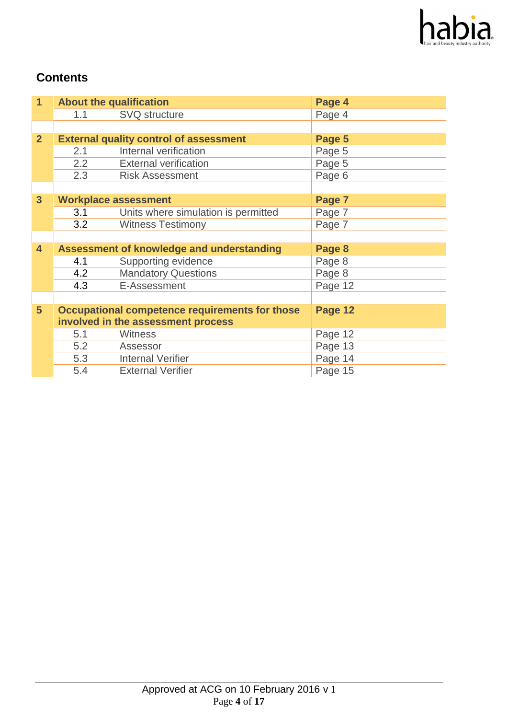

## **Contents**

| $\overline{1}$ |                                    | <b>About the qualification</b>                   | Page 4  |
|----------------|------------------------------------|--------------------------------------------------|---------|
|                | 1.1                                | <b>SVQ</b> structure                             | Page 4  |
|                |                                    |                                                  |         |
| 2 <sup>1</sup> |                                    | <b>External quality control of assessment</b>    | Page 5  |
|                | 2.1                                | Internal verification                            | Page 5  |
|                | 2.2                                | <b>External verification</b>                     | Page 5  |
|                | 2.3                                | <b>Risk Assessment</b>                           | Page 6  |
|                |                                    |                                                  |         |
| $\overline{3}$ |                                    | <b>Workplace assessment</b>                      | Page 7  |
|                | 3.1                                | Units where simulation is permitted              | Page 7  |
|                | 3.2                                | <b>Witness Testimony</b>                         | Page 7  |
|                |                                    |                                                  |         |
| $\overline{4}$ |                                    | <b>Assessment of knowledge and understanding</b> | Page 8  |
|                | 4.1                                | Supporting evidence                              | Page 8  |
|                | 4.2                                | <b>Mandatory Questions</b>                       | Page 8  |
|                | 4.3                                | E-Assessment                                     | Page 12 |
|                |                                    |                                                  |         |
| 5 <sup>5</sup> |                                    | Occupational competence requirements for those   | Page 12 |
|                | involved in the assessment process |                                                  |         |
|                | 5.1                                | Witness                                          | Page 12 |
|                | 5.2                                | Assessor                                         | Page 13 |
|                | 5.3                                | <b>Internal Verifier</b>                         | Page 14 |
|                | 5.4                                | <b>External Verifier</b>                         | Page 15 |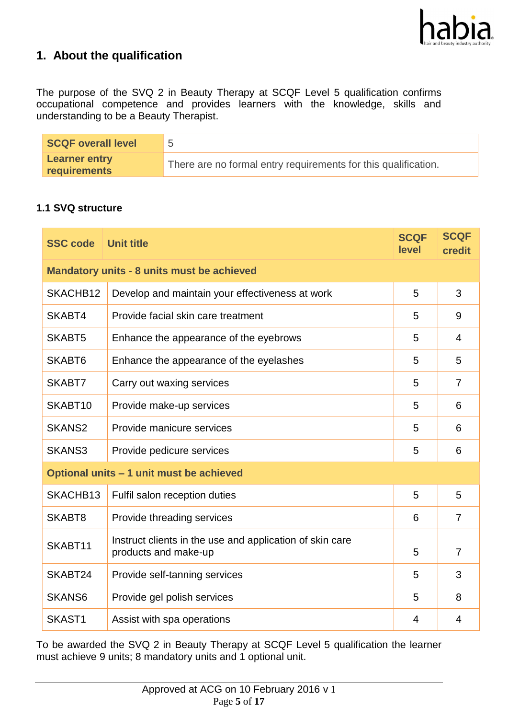

## **1. About the qualification**

The purpose of the SVQ 2 in Beauty Therapy at SCQF Level 5 qualification confirms occupational competence and provides learners with the knowledge, skills and understanding to be a Beauty Therapist.

| <b>SCQF overall level</b>                   |                                                                |
|---------------------------------------------|----------------------------------------------------------------|
| <b>Learner entry</b><br><b>requirements</b> | There are no formal entry requirements for this qualification. |

#### **1.1 SVQ structure**

| <b>SSC code</b>                          | <b>Unit title</b>                                                                | <b>SCQF</b><br>level | <b>SCQF</b><br>credit |
|------------------------------------------|----------------------------------------------------------------------------------|----------------------|-----------------------|
|                                          | <b>Mandatory units - 8 units must be achieved</b>                                |                      |                       |
| SKACHB12                                 | Develop and maintain your effectiveness at work                                  | 5                    | 3                     |
| SKABT4                                   | Provide facial skin care treatment                                               | 5                    | 9                     |
| SKABT5                                   | Enhance the appearance of the eyebrows                                           | 5                    | 4                     |
| SKABT6                                   | Enhance the appearance of the eyelashes                                          | 5                    | 5                     |
| SKABT7                                   | Carry out waxing services                                                        | 5                    | $\overline{7}$        |
| SKABT10                                  | Provide make-up services                                                         | 5                    | 6                     |
| SKANS <sub>2</sub>                       | Provide manicure services                                                        | 5                    | 6                     |
| SKANS3                                   | Provide pedicure services                                                        | 5                    | 6                     |
| Optional units - 1 unit must be achieved |                                                                                  |                      |                       |
| SKACHB13                                 | Fulfil salon reception duties                                                    | 5                    | 5                     |
| SKABT8                                   | Provide threading services                                                       | 6                    | $\overline{7}$        |
| SKABT11                                  | Instruct clients in the use and application of skin care<br>products and make-up | 5                    | $\overline{7}$        |
| SKABT24                                  | Provide self-tanning services                                                    | 5                    | 3                     |
| SKANS6                                   | Provide gel polish services                                                      | 5                    | 8                     |
| SKAST1                                   | Assist with spa operations                                                       | 4                    | 4                     |

To be awarded the SVQ 2 in Beauty Therapy at SCQF Level 5 qualification the learner must achieve 9 units; 8 mandatory units and 1 optional unit.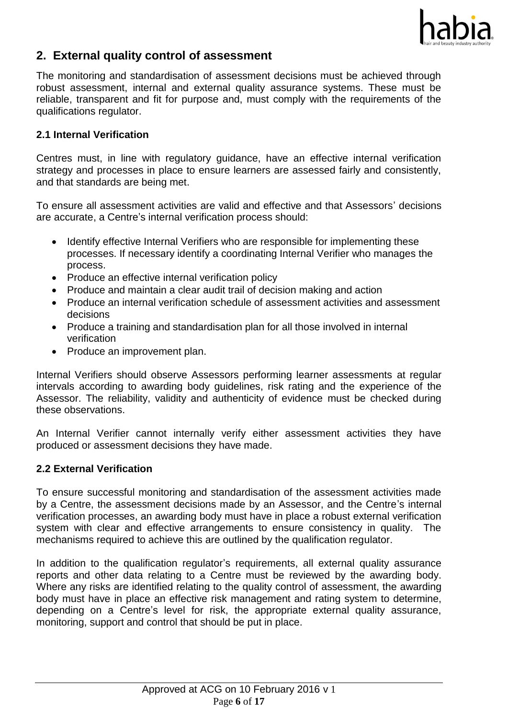

## **2. External quality control of assessment**

The monitoring and standardisation of assessment decisions must be achieved through robust assessment, internal and external quality assurance systems. These must be reliable, transparent and fit for purpose and, must comply with the requirements of the qualifications regulator.

## **2.1 Internal Verification**

Centres must, in line with regulatory guidance, have an effective internal verification strategy and processes in place to ensure learners are assessed fairly and consistently, and that standards are being met.

To ensure all assessment activities are valid and effective and that Assessors' decisions are accurate, a Centre's internal verification process should:

- Identify effective Internal Verifiers who are responsible for implementing these processes. If necessary identify a coordinating Internal Verifier who manages the process.
- Produce an effective internal verification policy
- Produce and maintain a clear audit trail of decision making and action
- Produce an internal verification schedule of assessment activities and assessment decisions
- Produce a training and standardisation plan for all those involved in internal verification
- Produce an improvement plan.

Internal Verifiers should observe Assessors performing learner assessments at regular intervals according to awarding body guidelines, risk rating and the experience of the Assessor. The reliability, validity and authenticity of evidence must be checked during these observations.

An Internal Verifier cannot internally verify either assessment activities they have produced or assessment decisions they have made.

## **2.2 External Verification**

To ensure successful monitoring and standardisation of the assessment activities made by a Centre, the assessment decisions made by an Assessor, and the Centre's internal verification processes, an awarding body must have in place a robust external verification system with clear and effective arrangements to ensure consistency in quality. The mechanisms required to achieve this are outlined by the qualification regulator.

In addition to the qualification regulator's requirements, all external quality assurance reports and other data relating to a Centre must be reviewed by the awarding body. Where any risks are identified relating to the quality control of assessment, the awarding body must have in place an effective risk management and rating system to determine, depending on a Centre's level for risk, the appropriate external quality assurance, monitoring, support and control that should be put in place.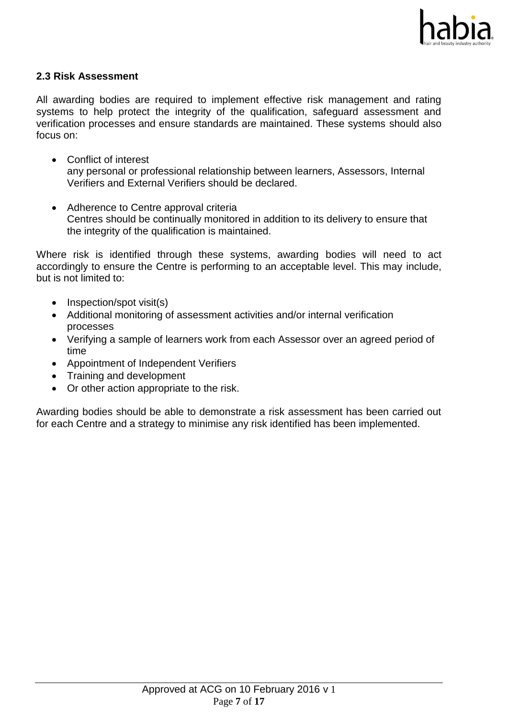

## **2.3 Risk Assessment**

All awarding bodies are required to implement effective risk management and rating systems to help protect the integrity of the qualification, safeguard assessment and verification processes and ensure standards are maintained. These systems should also focus on:

- Conflict of interest any personal or professional relationship between learners, Assessors, Internal Verifiers and External Verifiers should be declared.
- Adherence to Centre approval criteria Centres should be continually monitored in addition to its delivery to ensure that the integrity of the qualification is maintained.

Where risk is identified through these systems, awarding bodies will need to act accordingly to ensure the Centre is performing to an acceptable level. This may include, but is not limited to:

- $\bullet$  Inspection/spot visit(s)
- Additional monitoring of assessment activities and/or internal verification processes
- Verifying a sample of learners work from each Assessor over an agreed period of time
- Appointment of Independent Verifiers
- Training and development
- Or other action appropriate to the risk.

Awarding bodies should be able to demonstrate a risk assessment has been carried out for each Centre and a strategy to minimise any risk identified has been implemented.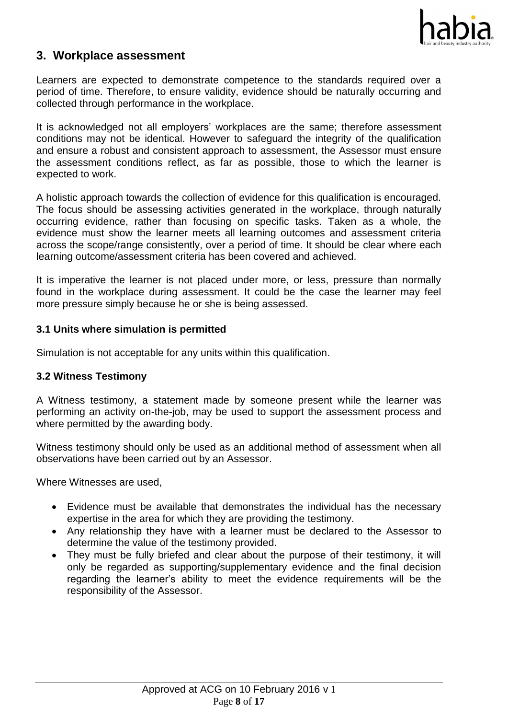

## **3. Workplace assessment**

Learners are expected to demonstrate competence to the standards required over a period of time. Therefore, to ensure validity, evidence should be naturally occurring and collected through performance in the workplace.

It is acknowledged not all employers' workplaces are the same; therefore assessment conditions may not be identical. However to safeguard the integrity of the qualification and ensure a robust and consistent approach to assessment, the Assessor must ensure the assessment conditions reflect, as far as possible, those to which the learner is expected to work.

A holistic approach towards the collection of evidence for this qualification is encouraged. The focus should be assessing activities generated in the workplace, through naturally occurring evidence, rather than focusing on specific tasks. Taken as a whole, the evidence must show the learner meets all learning outcomes and assessment criteria across the scope/range consistently, over a period of time. It should be clear where each learning outcome/assessment criteria has been covered and achieved.

It is imperative the learner is not placed under more, or less, pressure than normally found in the workplace during assessment. It could be the case the learner may feel more pressure simply because he or she is being assessed.

#### **3.1 Units where simulation is permitted**

Simulation is not acceptable for any units within this qualification.

#### **3.2 Witness Testimony**

A Witness testimony, a statement made by someone present while the learner was performing an activity on-the-job, may be used to support the assessment process and where permitted by the awarding body.

Witness testimony should only be used as an additional method of assessment when all observations have been carried out by an Assessor.

Where Witnesses are used,

- Evidence must be available that demonstrates the individual has the necessary expertise in the area for which they are providing the testimony.
- Any relationship they have with a learner must be declared to the Assessor to determine the value of the testimony provided.
- They must be fully briefed and clear about the purpose of their testimony, it will only be regarded as supporting/supplementary evidence and the final decision regarding the learner's ability to meet the evidence requirements will be the responsibility of the Assessor.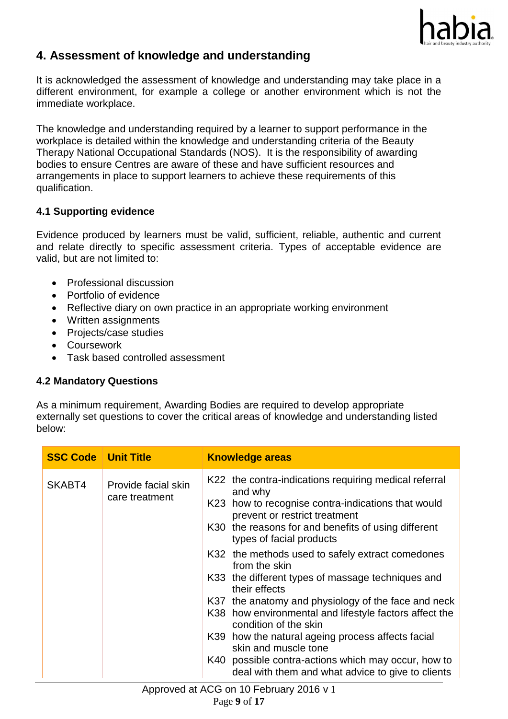

## **4. Assessment of knowledge and understanding**

It is acknowledged the assessment of knowledge and understanding may take place in a different environment, for example a college or another environment which is not the immediate workplace.

The knowledge and understanding required by a learner to support performance in the workplace is detailed within the knowledge and understanding criteria of the Beauty Therapy National Occupational Standards (NOS). It is the responsibility of awarding bodies to ensure Centres are aware of these and have sufficient resources and arrangements in place to support learners to achieve these requirements of this qualification.

## **4.1 Supporting evidence**

Evidence produced by learners must be valid, sufficient, reliable, authentic and current and relate directly to specific assessment criteria. Types of acceptable evidence are valid, but are not limited to:

- Professional discussion
- Portfolio of evidence
- Reflective diary on own practice in an appropriate working environment
- Written assignments
- Projects/case studies
- **•** Coursework
- Task based controlled assessment

## **4.2 Mandatory Questions**

As a minimum requirement, Awarding Bodies are required to develop appropriate externally set questions to cover the critical areas of knowledge and understanding listed below:

| <b>SSC Code   Unit Title</b> |                                       | <b>Knowledge areas</b>                                                                                                                                                                                                                     |
|------------------------------|---------------------------------------|--------------------------------------------------------------------------------------------------------------------------------------------------------------------------------------------------------------------------------------------|
| SKABT4                       | Provide facial skin<br>care treatment | K22 the contra-indications requiring medical referral<br>and why<br>K23 how to recognise contra-indications that would<br>prevent or restrict treatment<br>K30 the reasons for and benefits of using different<br>types of facial products |
|                              |                                       | K32 the methods used to safely extract comedones<br>from the skin<br>K33 the different types of massage techniques and<br>their effects<br>K37 the anatomy and physiology of the face and neck                                             |
|                              |                                       | how environmental and lifestyle factors affect the<br>K38<br>condition of the skin                                                                                                                                                         |
|                              |                                       | K39 how the natural ageing process affects facial<br>skin and muscle tone                                                                                                                                                                  |
|                              |                                       | K40 possible contra-actions which may occur, how to<br>deal with them and what advice to give to clients                                                                                                                                   |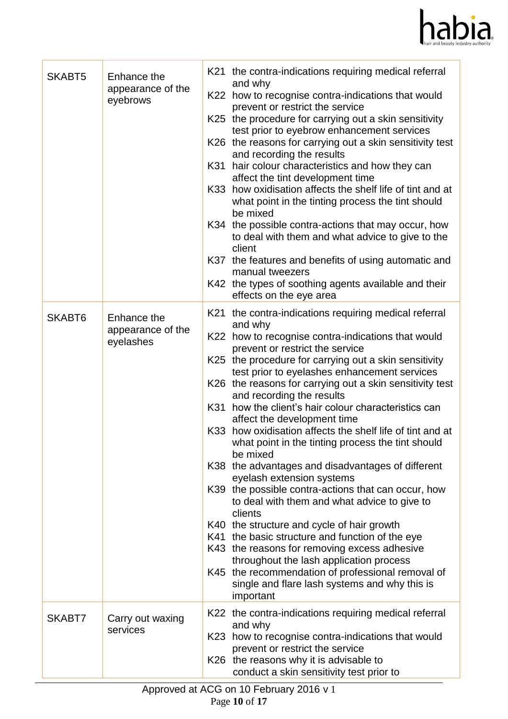

| SKABT5 | Enhance the<br>appearance of the<br>eyebrows  | K21 the contra-indications requiring medical referral<br>and why<br>K22 how to recognise contra-indications that would<br>prevent or restrict the service<br>K25 the procedure for carrying out a skin sensitivity<br>test prior to eyebrow enhancement services<br>K26 the reasons for carrying out a skin sensitivity test<br>and recording the results<br>K31<br>hair colour characteristics and how they can<br>affect the tint development time<br>K33 how oxidisation affects the shelf life of tint and at<br>what point in the tinting process the tint should<br>be mixed<br>K34 the possible contra-actions that may occur, how<br>to deal with them and what advice to give to the<br>client<br>K37 the features and benefits of using automatic and<br>manual tweezers<br>K42 the types of soothing agents available and their<br>effects on the eye area                                                                                                                                                                                                                                  |  |
|--------|-----------------------------------------------|--------------------------------------------------------------------------------------------------------------------------------------------------------------------------------------------------------------------------------------------------------------------------------------------------------------------------------------------------------------------------------------------------------------------------------------------------------------------------------------------------------------------------------------------------------------------------------------------------------------------------------------------------------------------------------------------------------------------------------------------------------------------------------------------------------------------------------------------------------------------------------------------------------------------------------------------------------------------------------------------------------------------------------------------------------------------------------------------------------|--|
| SKABT6 | Enhance the<br>appearance of the<br>eyelashes | K21 the contra-indications requiring medical referral<br>and why<br>K22 how to recognise contra-indications that would<br>prevent or restrict the service<br>K25 the procedure for carrying out a skin sensitivity<br>test prior to eyelashes enhancement services<br>K26 the reasons for carrying out a skin sensitivity test<br>and recording the results<br>how the client's hair colour characteristics can<br>K31<br>affect the development time<br>K33 how oxidisation affects the shelf life of tint and at<br>what point in the tinting process the tint should<br>be mixed<br>K38 the advantages and disadvantages of different<br>eyelash extension systems<br>K39 the possible contra-actions that can occur, how<br>to deal with them and what advice to give to<br>clients<br>K40 the structure and cycle of hair growth<br>K41 the basic structure and function of the eye<br>K43 the reasons for removing excess adhesive<br>throughout the lash application process<br>K45 the recommendation of professional removal of<br>single and flare lash systems and why this is<br>important |  |
| SKABT7 | Carry out waxing<br>services                  | K22 the contra-indications requiring medical referral<br>and why<br>how to recognise contra-indications that would<br>K23<br>prevent or restrict the service<br>K26 the reasons why it is advisable to<br>conduct a skin sensitivity test prior to                                                                                                                                                                                                                                                                                                                                                                                                                                                                                                                                                                                                                                                                                                                                                                                                                                                     |  |

Approved at ACG on 10 February 2016 v 1 Page **10** of **17**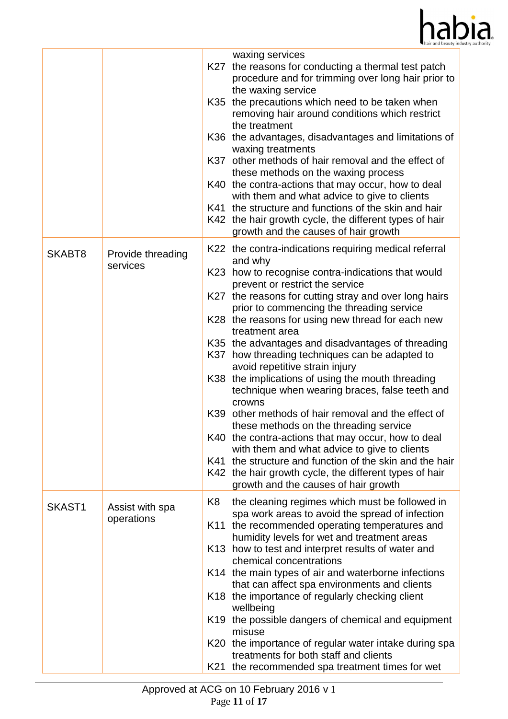

|        |                               | waxing services<br>K27 the reasons for conducting a thermal test patch<br>procedure and for trimming over long hair prior to<br>the waxing service<br>K35 the precautions which need to be taken when<br>removing hair around conditions which restrict<br>the treatment<br>K36 the advantages, disadvantages and limitations of<br>waxing treatments<br>K37 other methods of hair removal and the effect of<br>these methods on the waxing process<br>K40 the contra-actions that may occur, how to deal<br>with them and what advice to give to clients<br>K41 the structure and functions of the skin and hair<br>K42 the hair growth cycle, the different types of hair<br>growth and the causes of hair growth                                                                                                                                                                                                                                                     |
|--------|-------------------------------|-------------------------------------------------------------------------------------------------------------------------------------------------------------------------------------------------------------------------------------------------------------------------------------------------------------------------------------------------------------------------------------------------------------------------------------------------------------------------------------------------------------------------------------------------------------------------------------------------------------------------------------------------------------------------------------------------------------------------------------------------------------------------------------------------------------------------------------------------------------------------------------------------------------------------------------------------------------------------|
| SKABT8 | Provide threading<br>services | K22 the contra-indications requiring medical referral<br>and why<br>K23 how to recognise contra-indications that would<br>prevent or restrict the service<br>K27 the reasons for cutting stray and over long hairs<br>prior to commencing the threading service<br>K28 the reasons for using new thread for each new<br>treatment area<br>K35 the advantages and disadvantages of threading<br>K37 how threading techniques can be adapted to<br>avoid repetitive strain injury<br>K38 the implications of using the mouth threading<br>technique when wearing braces, false teeth and<br>crowns<br>other methods of hair removal and the effect of<br>K39<br>these methods on the threading service<br>K40 the contra-actions that may occur, how to deal<br>with them and what advice to give to clients<br>K41 the structure and function of the skin and the hair<br>K42 the hair growth cycle, the different types of hair<br>growth and the causes of hair growth |
| SKAST1 | Assist with spa<br>operations | K8<br>the cleaning regimes which must be followed in<br>spa work areas to avoid the spread of infection<br>K11 the recommended operating temperatures and<br>humidity levels for wet and treatment areas<br>K13 how to test and interpret results of water and<br>chemical concentrations<br>K14 the main types of air and waterborne infections<br>that can affect spa environments and clients<br>K18 the importance of regularly checking client<br>wellbeing<br>K19 the possible dangers of chemical and equipment<br>misuse<br>K20 the importance of regular water intake during spa<br>treatments for both staff and clients<br>K21 the recommended spa treatment times for wet                                                                                                                                                                                                                                                                                   |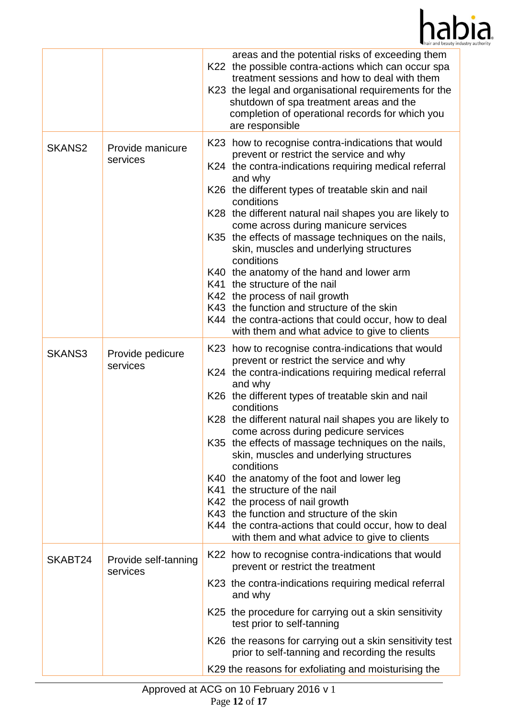

|                    |                                  | areas and the potential risks of exceeding them<br>K22 the possible contra-actions which can occur spa<br>treatment sessions and how to deal with them<br>K23 the legal and organisational requirements for the<br>shutdown of spa treatment areas and the<br>completion of operational records for which you<br>are responsible                                                                                                                                                                                                                                                                                                                                                                                               |
|--------------------|----------------------------------|--------------------------------------------------------------------------------------------------------------------------------------------------------------------------------------------------------------------------------------------------------------------------------------------------------------------------------------------------------------------------------------------------------------------------------------------------------------------------------------------------------------------------------------------------------------------------------------------------------------------------------------------------------------------------------------------------------------------------------|
| SKANS <sub>2</sub> | Provide manicure<br>services     | K23 how to recognise contra-indications that would<br>prevent or restrict the service and why<br>K24 the contra-indications requiring medical referral<br>and why<br>K26 the different types of treatable skin and nail<br>conditions<br>K28 the different natural nail shapes you are likely to<br>come across during manicure services<br>K35 the effects of massage techniques on the nails,<br>skin, muscles and underlying structures<br>conditions<br>K40 the anatomy of the hand and lower arm<br>K41 the structure of the nail<br>K42 the process of nail growth<br>K43 the function and structure of the skin<br>K44 the contra-actions that could occur, how to deal<br>with them and what advice to give to clients |
| SKANS3             | Provide pedicure<br>services     | K23 how to recognise contra-indications that would<br>prevent or restrict the service and why<br>K24 the contra-indications requiring medical referral<br>and why<br>K26 the different types of treatable skin and nail<br>conditions<br>K28 the different natural nail shapes you are likely to<br>come across during pedicure services<br>K35 the effects of massage techniques on the nails,<br>skin, muscles and underlying structures<br>conditions<br>K40 the anatomy of the foot and lower leg<br>K41 the structure of the nail<br>K42 the process of nail growth<br>K43 the function and structure of the skin<br>K44 the contra-actions that could occur, how to deal<br>with them and what advice to give to clients |
| SKABT24            | Provide self-tanning<br>services | K22 how to recognise contra-indications that would<br>prevent or restrict the treatment<br>K23 the contra-indications requiring medical referral<br>and why                                                                                                                                                                                                                                                                                                                                                                                                                                                                                                                                                                    |
|                    |                                  | K25 the procedure for carrying out a skin sensitivity<br>test prior to self-tanning<br>K26 the reasons for carrying out a skin sensitivity test<br>prior to self-tanning and recording the results                                                                                                                                                                                                                                                                                                                                                                                                                                                                                                                             |
|                    |                                  | K29 the reasons for exfoliating and moisturising the                                                                                                                                                                                                                                                                                                                                                                                                                                                                                                                                                                                                                                                                           |
|                    |                                  |                                                                                                                                                                                                                                                                                                                                                                                                                                                                                                                                                                                                                                                                                                                                |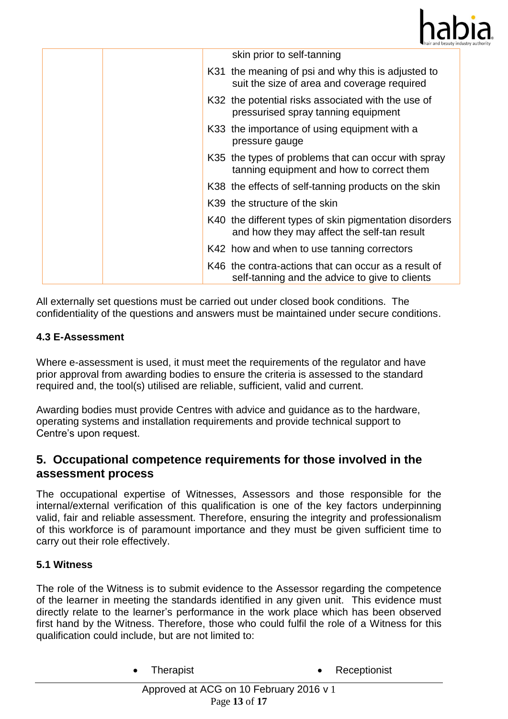

| Thair and beauty                                                                                       |
|--------------------------------------------------------------------------------------------------------|
| skin prior to self-tanning                                                                             |
| K31 the meaning of psi and why this is adjusted to<br>suit the size of area and coverage required      |
| K32 the potential risks associated with the use of<br>pressurised spray tanning equipment              |
| K33 the importance of using equipment with a<br>pressure gauge                                         |
| K35 the types of problems that can occur with spray<br>tanning equipment and how to correct them       |
| K38 the effects of self-tanning products on the skin                                                   |
| K39 the structure of the skin                                                                          |
| K40 the different types of skin pigmentation disorders<br>and how they may affect the self-tan result  |
| K42 how and when to use tanning correctors                                                             |
| K46 the contra-actions that can occur as a result of<br>self-tanning and the advice to give to clients |

All externally set questions must be carried out under closed book conditions. The confidentiality of the questions and answers must be maintained under secure conditions.

## **4.3 E-Assessment**

Where e-assessment is used, it must meet the requirements of the regulator and have prior approval from awarding bodies to ensure the criteria is assessed to the standard required and, the tool(s) utilised are reliable, sufficient, valid and current.

Awarding bodies must provide Centres with advice and guidance as to the hardware, operating systems and installation requirements and provide technical support to Centre's upon request.

## **5. Occupational competence requirements for those involved in the assessment process**

The occupational expertise of Witnesses, Assessors and those responsible for the internal/external verification of this qualification is one of the key factors underpinning valid, fair and reliable assessment. Therefore, ensuring the integrity and professionalism of this workforce is of paramount importance and they must be given sufficient time to carry out their role effectively.

## **5.1 Witness**

The role of the Witness is to submit evidence to the Assessor regarding the competence of the learner in meeting the standards identified in any given unit. This evidence must directly relate to the learner's performance in the work place which has been observed first hand by the Witness. Therefore, those who could fulfil the role of a Witness for this qualification could include, but are not limited to:

Therapist **Receptionist CONFIDENT CONFIDENT CONFIDENT CONFIDENT CONFIDENT**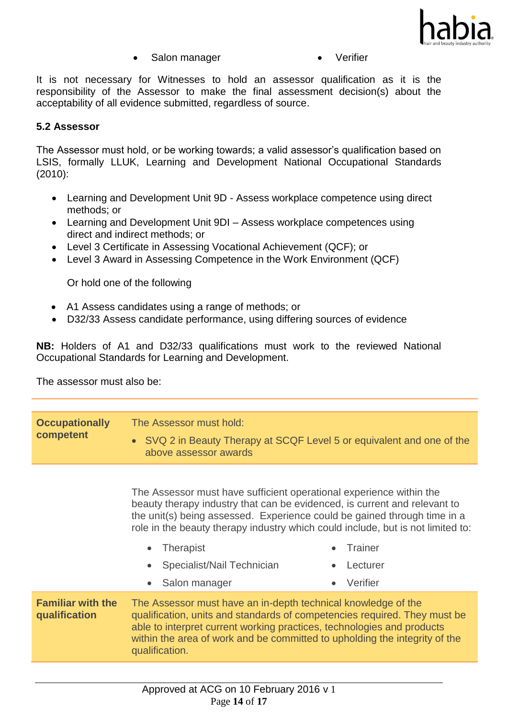

- Salon manager **Calon Exercise** Verifier
- 

It is not necessary for Witnesses to hold an assessor qualification as it is the responsibility of the Assessor to make the final assessment decision(s) about the acceptability of all evidence submitted, regardless of source.

## **5.2 Assessor**

The Assessor must hold, or be working towards; a valid assessor's qualification based on LSIS, formally LLUK, Learning and Development National Occupational Standards (2010):

- Learning and Development Unit 9D Assess workplace competence using direct methods; or
- Learning and Development Unit 9DI Assess workplace competences using direct and indirect methods; or
- Level 3 Certificate in Assessing Vocational Achievement (QCF); or
- Level 3 Award in Assessing Competence in the Work Environment (QCF)

Or hold one of the following

- A1 Assess candidates using a range of methods; or
- D32/33 Assess candidate performance, using differing sources of evidence

**NB:** Holders of A1 and D32/33 qualifications must work to the reviewed National Occupational Standards for Learning and Development.

The assessor must also be:

| <b>Occupationally</b><br>competent        | The Assessor must hold:<br>• SVQ 2 in Beauty Therapy at SCQF Level 5 or equivalent and one of the<br>above assessor awards                                                                                                                                                                                                                                                                                   |                                        |
|-------------------------------------------|--------------------------------------------------------------------------------------------------------------------------------------------------------------------------------------------------------------------------------------------------------------------------------------------------------------------------------------------------------------------------------------------------------------|----------------------------------------|
|                                           | The Assessor must have sufficient operational experience within the<br>beauty therapy industry that can be evidenced, is current and relevant to<br>the unit(s) being assessed. Experience could be gained through time in a<br>role in the beauty therapy industry which could include, but is not limited to:<br><b>Therapist</b><br>$\bullet$<br>Specialist/Nail Technician<br>$\bullet$<br>Salon manager | <b>Trainer</b><br>Lecturer<br>Verifier |
| <b>Familiar with the</b><br>qualification | The Assessor must have an in-depth technical knowledge of the<br>qualification, units and standards of competencies required. They must be<br>able to interpret current working practices, technologies and products<br>within the area of work and be committed to upholding the integrity of the<br>qualification.                                                                                         |                                        |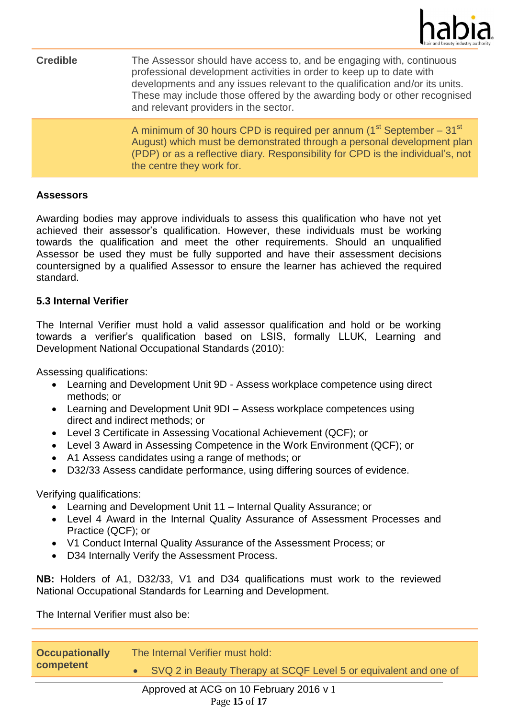

| <b>Credible</b> | The Assessor should have access to, and be engaging with, continuous<br>professional development activities in order to keep up to date with<br>developments and any issues relevant to the qualification and/or its units.<br>These may include those offered by the awarding body or other recognised<br>and relevant providers in the sector. |
|-----------------|--------------------------------------------------------------------------------------------------------------------------------------------------------------------------------------------------------------------------------------------------------------------------------------------------------------------------------------------------|
|                 | A minimum of 30 hours CPD is required per annum $(1st September – 31st$<br>August) which must be demonstrated through a personal development plan<br>(PDP) or as a reflective diary. Responsibility for CPD is the individual's, not<br>the centre they work for.                                                                                |

#### **Assessors**

Awarding bodies may approve individuals to assess this qualification who have not yet achieved their assessor's qualification. However, these individuals must be working towards the qualification and meet the other requirements. Should an unqualified Assessor be used they must be fully supported and have their assessment decisions countersigned by a qualified Assessor to ensure the learner has achieved the required standard.

#### **5.3 Internal Verifier**

The Internal Verifier must hold a valid assessor qualification and hold or be working towards a verifier's qualification based on LSIS, formally LLUK, Learning and Development National Occupational Standards (2010):

Assessing qualifications:

- Learning and Development Unit 9D Assess workplace competence using direct methods; or
- Learning and Development Unit 9DI Assess workplace competences using direct and indirect methods; or
- Level 3 Certificate in Assessing Vocational Achievement (QCF); or
- Level 3 Award in Assessing Competence in the Work Environment (QCF); or
- A1 Assess candidates using a range of methods; or
- D32/33 Assess candidate performance, using differing sources of evidence.

Verifying qualifications:

- Learning and Development Unit 11 Internal Quality Assurance; or
- Level 4 Award in the Internal Quality Assurance of Assessment Processes and Practice (QCF); or
- V1 Conduct Internal Quality Assurance of the Assessment Process; or
- D34 Internally Verify the Assessment Process.

**NB:** Holders of A1, D32/33, V1 and D34 qualifications must work to the reviewed National Occupational Standards for Learning and Development.

The Internal Verifier must also be:

| <b>Occupationally</b> | The Internal Verifier must hold:                                   |
|-----------------------|--------------------------------------------------------------------|
| competent             | • SVQ 2 in Beauty Therapy at SCQF Level 5 or equivalent and one of |
|                       | Annroved at ACG on 10 February 2016 y 1                            |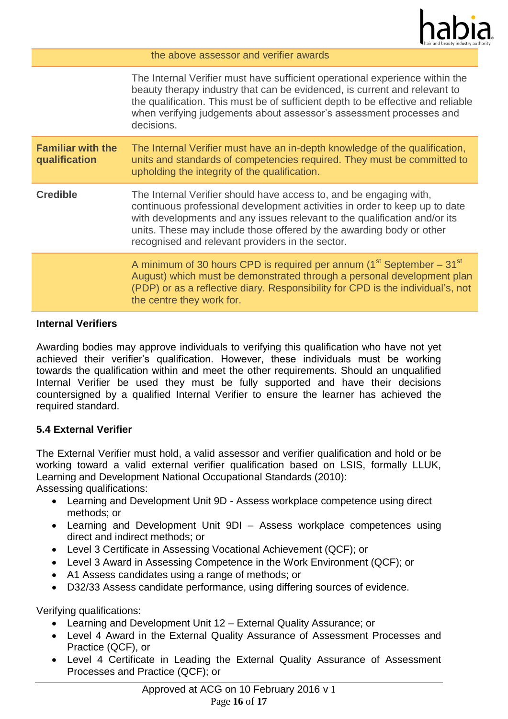

the above assessor and verifier awards

The Internal Verifier must have sufficient operational experience within the beauty therapy industry that can be evidenced, is current and relevant to the qualification. This must be of sufficient depth to be effective and reliable when verifying judgements about assessor's assessment processes and decisions.

**Familiar with the qualification** The Internal Verifier must have an in-depth knowledge of the qualification, units and standards of competencies required. They must be committed to upholding the integrity of the qualification.

**Credible** The Internal Verifier should have access to, and be engaging with, continuous professional development activities in order to keep up to date with developments and any issues relevant to the qualification and/or its units. These may include those offered by the awarding body or other recognised and relevant providers in the sector.

> A minimum of 30 hours CPD is required per annum  $(1<sup>st</sup> September - 31<sup>st</sup>)$ August) which must be demonstrated through a personal development plan (PDP) or as a reflective diary. Responsibility for CPD is the individual's, not the centre they work for.

#### **Internal Verifiers**

Awarding bodies may approve individuals to verifying this qualification who have not yet achieved their verifier's qualification. However, these individuals must be working towards the qualification within and meet the other requirements. Should an unqualified Internal Verifier be used they must be fully supported and have their decisions countersigned by a qualified Internal Verifier to ensure the learner has achieved the required standard.

## **5.4 External Verifier**

The External Verifier must hold, a valid assessor and verifier qualification and hold or be working toward a valid external verifier qualification based on LSIS, formally LLUK, Learning and Development National Occupational Standards (2010):

Assessing qualifications:

- Learning and Development Unit 9D Assess workplace competence using direct methods; or
- Learning and Development Unit 9DI Assess workplace competences using direct and indirect methods; or
- Level 3 Certificate in Assessing Vocational Achievement (QCF); or
- Level 3 Award in Assessing Competence in the Work Environment (QCF); or
- A1 Assess candidates using a range of methods; or
- D32/33 Assess candidate performance, using differing sources of evidence.

Verifying qualifications:

- Learning and Development Unit 12 External Quality Assurance; or
- Level 4 Award in the External Quality Assurance of Assessment Processes and Practice (QCF), or
- Level 4 Certificate in Leading the External Quality Assurance of Assessment Processes and Practice (QCF); or